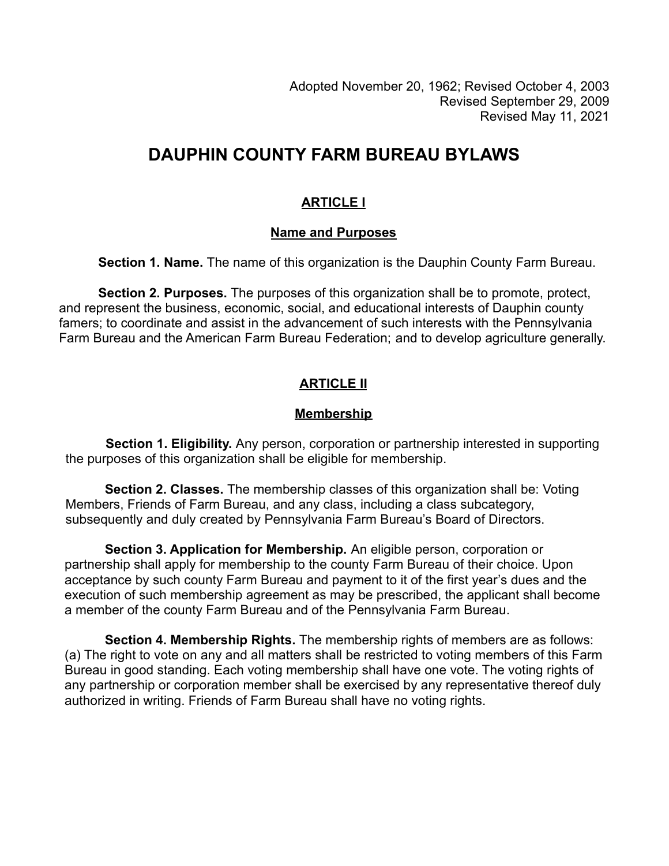# **DAUPHIN COUNTY FARM BUREAU BYLAWS**

# **ARTICLE I**

## **Name and Purposes**

**Section 1. Name.** The name of this organization is the Dauphin County Farm Bureau.

**Section 2. Purposes.** The purposes of this organization shall be to promote, protect, and represent the business, economic, social, and educational interests of Dauphin county famers; to coordinate and assist in the advancement of such interests with the Pennsylvania Farm Bureau and the American Farm Bureau Federation; and to develop agriculture generally.

# **ARTICLE II**

## **Membership**

**Section 1. Eligibility.** Any person, corporation or partnership interested in supporting the purposes of this organization shall be eligible for membership.

**Section 2. Classes.** The membership classes of this organization shall be: Voting Members, Friends of Farm Bureau, and any class, including a class subcategory, subsequently and duly created by Pennsylvania Farm Bureau's Board of Directors.

**Section 3. Application for Membership.** An eligible person, corporation or partnership shall apply for membership to the county Farm Bureau of their choice. Upon acceptance by such county Farm Bureau and payment to it of the first year's dues and the execution of such membership agreement as may be prescribed, the applicant shall become a member of the county Farm Bureau and of the Pennsylvania Farm Bureau.

**Section 4. Membership Rights.** The membership rights of members are as follows: (a) The right to vote on any and all matters shall be restricted to voting members of this Farm Bureau in good standing. Each voting membership shall have one vote. The voting rights of any partnership or corporation member shall be exercised by any representative thereof duly authorized in writing. Friends of Farm Bureau shall have no voting rights.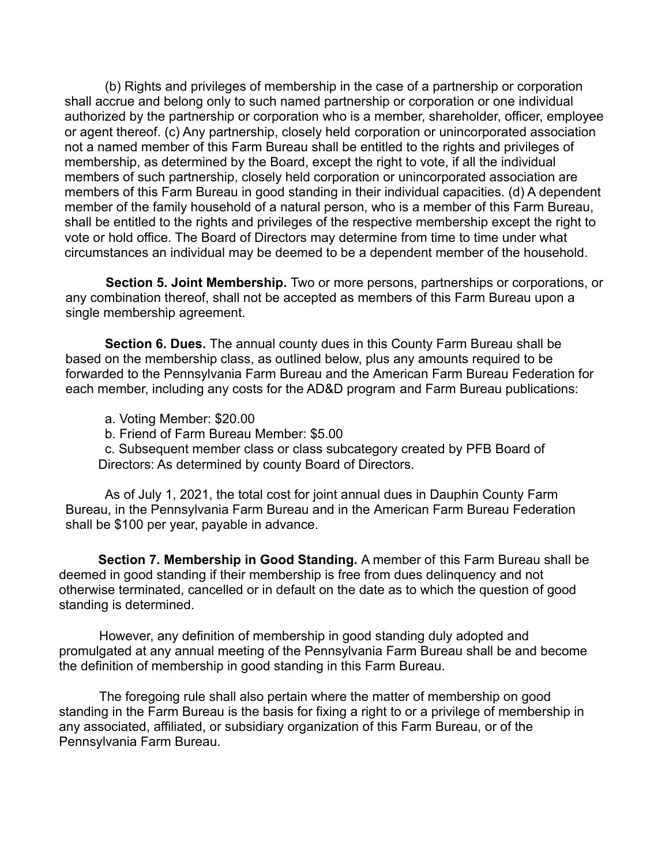(b) Rights and privileges of membership in the case of a partnership or corporation shall accrue and belong only to such named partnership or corporation or one individual authorized by the partnership or corporation who is a member, shareholder, officer, employee or agent thereof. (c) Any partnership, closely held corporation or unincorporated association not a named member of this Farm Bureau shall be entitled to the rights and privileges of membership, as determined by the Board, except the right to vote, if all the individual members of such partnership, closely held corporation or unincorporated association are members of this Farm Bureau in good standing in their individual capacities. (d) A dependent member of the family household of a natural person, who is a member of this Farm Bureau, shall be entitled to the rights and privileges of the respective membership except the right to vote or hold office. The Board of Directors may determine from time to time under what circumstances an individual may be deemed to be a dependent member of the household.

**Section 5. Joint Membership.** Two or more persons, partnerships or corporations, or any combination thereof, shall not be accepted as members of this Farm Bureau upon a single membership agreement.

**Section 6. Dues.** The annual county dues in this County Farm Bureau shall be based on the membership class, as outlined below, plus any amounts required to be forwarded to the Pennsylvania Farm Bureau and the American Farm Bureau Federation for each member, including any costs for the AD&D program and Farm Bureau publications:

- a. Voting Member: \$20.00
- b. Friend of Farm Bureau Member: \$5.00

c. Subsequent member class or class subcategory created by PFB Board of Directors: As determined by county Board of Directors.

As of July 1, 2021, the total cost for joint annual dues in Dauphin County Farm Bureau, in the Pennsylvania Farm Bureau and in the American Farm Bureau Federation shall be \$100 per year, payable in advance.

**Section 7. Membership in Good Standing.** A member of this Farm Bureau shall be deemed in good standing if their membership is free from dues delinquency and not otherwise terminated, cancelled or in default on the date as to which the question of good standing is determined.

However, any definition of membership in good standing duly adopted and promulgated at any annual meeting of the Pennsylvania Farm Bureau shall be and become the definition of membership in good standing in this Farm Bureau.

The foregoing rule shall also pertain where the matter of membership on good standing in the Farm Bureau is the basis for fixing a right to or a privilege of membership in any associated, affiliated, or subsidiary organization of this Farm Bureau, or of the Pennsylvania Farm Bureau.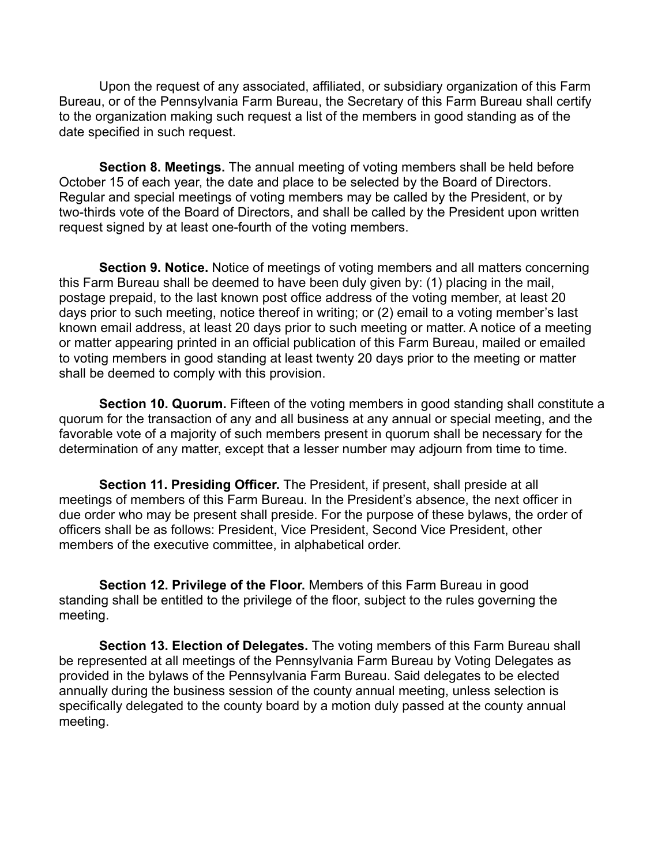Upon the request of any associated, affiliated, or subsidiary organization of this Farm Bureau, or of the Pennsylvania Farm Bureau, the Secretary of this Farm Bureau shall certify to the organization making such request a list of the members in good standing as of the date specified in such request.

**Section 8. Meetings.** The annual meeting of voting members shall be held before October 15 of each year, the date and place to be selected by the Board of Directors. Regular and special meetings of voting members may be called by the President, or by two-thirds vote of the Board of Directors, and shall be called by the President upon written request signed by at least one-fourth of the voting members.

**Section 9. Notice.** Notice of meetings of voting members and all matters concerning this Farm Bureau shall be deemed to have been duly given by: (1) placing in the mail, postage prepaid, to the last known post office address of the voting member, at least 20 days prior to such meeting, notice thereof in writing; or (2) email to a voting member's last known email address, at least 20 days prior to such meeting or matter. A notice of a meeting or matter appearing printed in an official publication of this Farm Bureau, mailed or emailed to voting members in good standing at least twenty 20 days prior to the meeting or matter shall be deemed to comply with this provision.

**Section 10. Quorum.** Fifteen of the voting members in good standing shall constitute a quorum for the transaction of any and all business at any annual or special meeting, and the favorable vote of a majority of such members present in quorum shall be necessary for the determination of any matter, except that a lesser number may adjourn from time to time.

**Section 11. Presiding Officer.** The President, if present, shall preside at all meetings of members of this Farm Bureau. In the President's absence, the next officer in due order who may be present shall preside. For the purpose of these bylaws, the order of officers shall be as follows: President, Vice President, Second Vice President, other members of the executive committee, in alphabetical order.

**Section 12. Privilege of the Floor.** Members of this Farm Bureau in good standing shall be entitled to the privilege of the floor, subject to the rules governing the meeting.

**Section 13. Election of Delegates.** The voting members of this Farm Bureau shall be represented at all meetings of the Pennsylvania Farm Bureau by Voting Delegates as provided in the bylaws of the Pennsylvania Farm Bureau. Said delegates to be elected annually during the business session of the county annual meeting, unless selection is specifically delegated to the county board by a motion duly passed at the county annual meeting.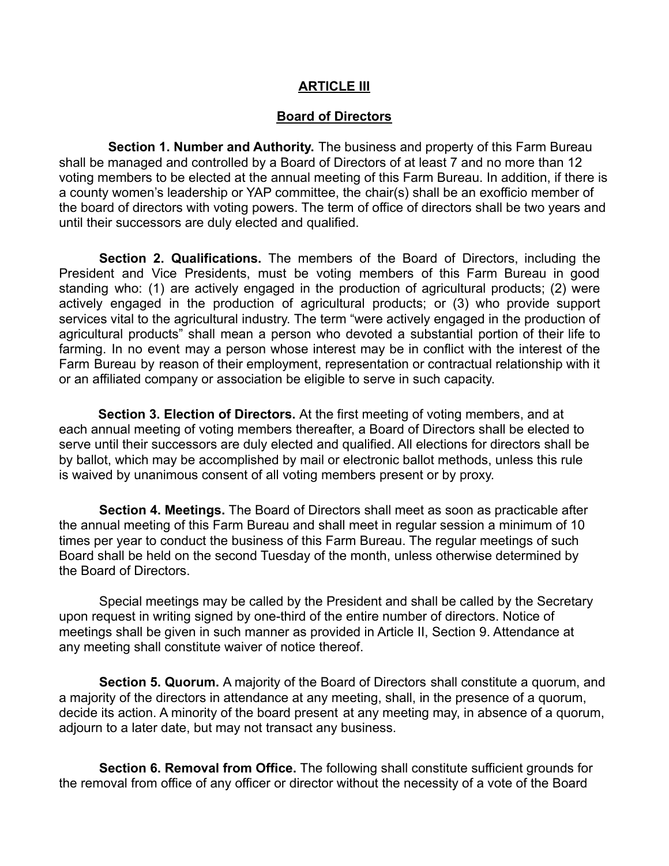#### **ARTICLE III**

#### **Board of Directors**

**Section 1. Number and Authority.** The business and property of this Farm Bureau shall be managed and controlled by a Board of Directors of at least 7 and no more than 12 voting members to be elected at the annual meeting of this Farm Bureau. In addition, if there is a county women's leadership or YAP committee, the chair(s) shall be an exofficio member of the board of directors with voting powers. The term of office of directors shall be two years and until their successors are duly elected and qualified.

**Section 2. Qualifications.** The members of the Board of Directors, including the President and Vice Presidents, must be voting members of this Farm Bureau in good standing who: (1) are actively engaged in the production of agricultural products; (2) were actively engaged in the production of agricultural products; or (3) who provide support services vital to the agricultural industry. The term "were actively engaged in the production of agricultural products" shall mean a person who devoted a substantial portion of their life to farming. In no event may a person whose interest may be in conflict with the interest of the Farm Bureau by reason of their employment, representation or contractual relationship with it or an affiliated company or association be eligible to serve in such capacity.

**Section 3. Election of Directors.** At the first meeting of voting members, and at each annual meeting of voting members thereafter, a Board of Directors shall be elected to serve until their successors are duly elected and qualified. All elections for directors shall be by ballot, which may be accomplished by mail or electronic ballot methods, unless this rule is waived by unanimous consent of all voting members present or by proxy.

**Section 4. Meetings.** The Board of Directors shall meet as soon as practicable after the annual meeting of this Farm Bureau and shall meet in regular session a minimum of 10 times per year to conduct the business of this Farm Bureau. The regular meetings of such Board shall be held on the second Tuesday of the month, unless otherwise determined by the Board of Directors.

Special meetings may be called by the President and shall be called by the Secretary upon request in writing signed by one-third of the entire number of directors. Notice of meetings shall be given in such manner as provided in Article II, Section 9. Attendance at any meeting shall constitute waiver of notice thereof.

**Section 5. Quorum.** A majority of the Board of Directors shall constitute a quorum, and a majority of the directors in attendance at any meeting, shall, in the presence of a quorum, decide its action. A minority of the board present at any meeting may, in absence of a quorum, adjourn to a later date, but may not transact any business.

**Section 6. Removal from Office.** The following shall constitute sufficient grounds for the removal from office of any officer or director without the necessity of a vote of the Board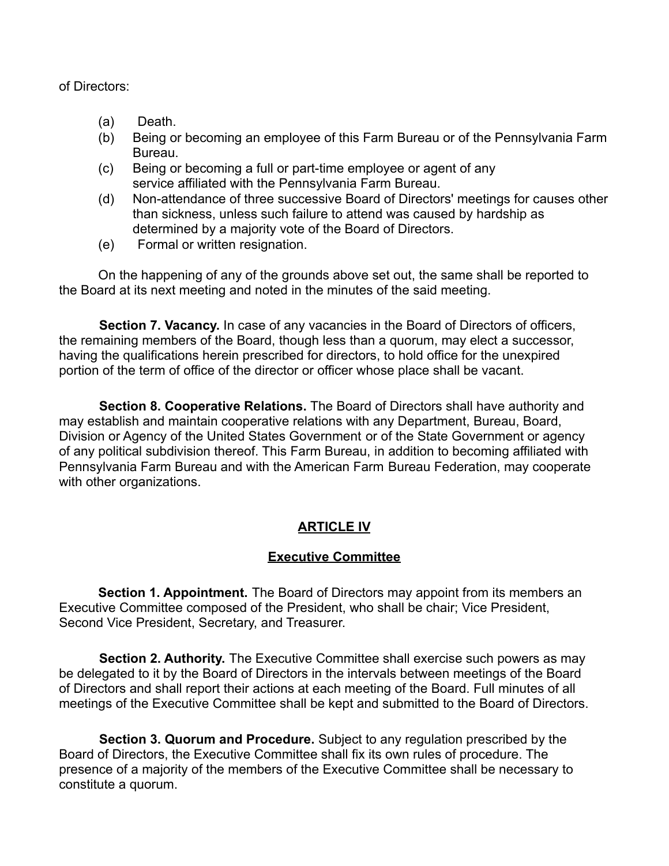of Directors:

- (a) Death.
- (b) Being or becoming an employee of this Farm Bureau or of the Pennsylvania Farm Bureau.
- (c) Being or becoming a full or part-time employee or agent of any service affiliated with the Pennsylvania Farm Bureau.
- (d) Non-attendance of three successive Board of Directors' meetings for causes other than sickness, unless such failure to attend was caused by hardship as determined by a majority vote of the Board of Directors.
- (e) Formal or written resignation.

On the happening of any of the grounds above set out, the same shall be reported to the Board at its next meeting and noted in the minutes of the said meeting.

**Section 7. Vacancy.** In case of any vacancies in the Board of Directors of officers, the remaining members of the Board, though less than a quorum, may elect a successor, having the qualifications herein prescribed for directors, to hold office for the unexpired portion of the term of office of the director or officer whose place shall be vacant.

**Section 8. Cooperative Relations.** The Board of Directors shall have authority and may establish and maintain cooperative relations with any Department, Bureau, Board, Division or Agency of the United States Government or of the State Government or agency of any political subdivision thereof. This Farm Bureau, in addition to becoming affiliated with Pennsylvania Farm Bureau and with the American Farm Bureau Federation, may cooperate with other organizations.

## **ARTICLE IV**

## **Executive Committee**

**Section 1. Appointment.** The Board of Directors may appoint from its members an Executive Committee composed of the President, who shall be chair; Vice President, Second Vice President, Secretary, and Treasurer.

**Section 2. Authority.** The Executive Committee shall exercise such powers as may be delegated to it by the Board of Directors in the intervals between meetings of the Board of Directors and shall report their actions at each meeting of the Board. Full minutes of all meetings of the Executive Committee shall be kept and submitted to the Board of Directors.

**Section 3. Quorum and Procedure.** Subject to any regulation prescribed by the Board of Directors, the Executive Committee shall fix its own rules of procedure. The presence of a majority of the members of the Executive Committee shall be necessary to constitute a quorum.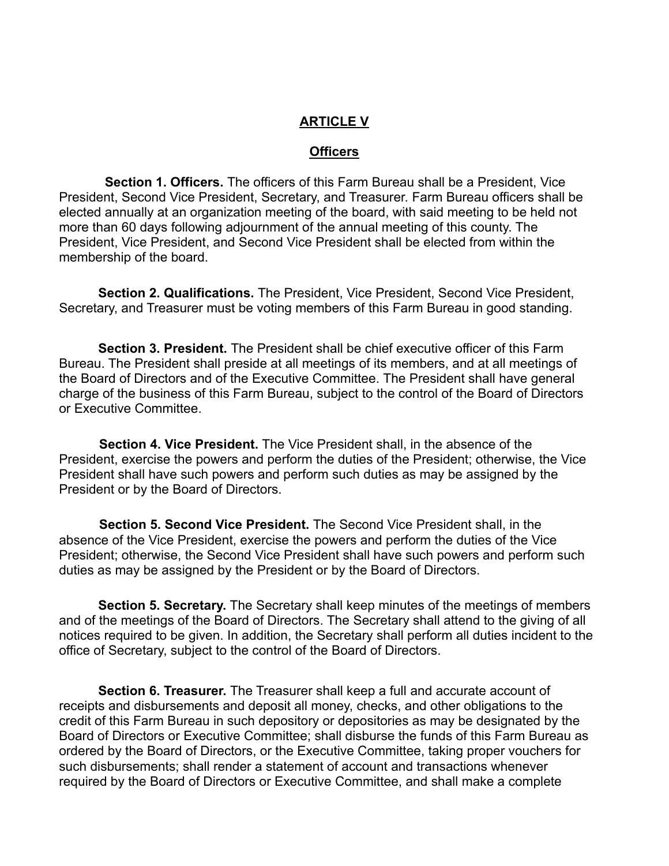#### **ARTICLE V**

#### **Officers**

**Section 1. Officers.** The officers of this Farm Bureau shall be a President, Vice President, Second Vice President, Secretary, and Treasurer. Farm Bureau officers shall be elected annually at an organization meeting of the board, with said meeting to be held not more than 60 days following adjournment of the annual meeting of this county. The President, Vice President, and Second Vice President shall be elected from within the membership of the board.

**Section 2. Qualifications.** The President, Vice President, Second Vice President, Secretary, and Treasurer must be voting members of this Farm Bureau in good standing.

**Section 3. President.** The President shall be chief executive officer of this Farm Bureau. The President shall preside at all meetings of its members, and at all meetings of the Board of Directors and of the Executive Committee. The President shall have general charge of the business of this Farm Bureau, subject to the control of the Board of Directors or Executive Committee.

**Section 4. Vice President.** The Vice President shall, in the absence of the President, exercise the powers and perform the duties of the President; otherwise, the Vice President shall have such powers and perform such duties as may be assigned by the President or by the Board of Directors.

**Section 5. Second Vice President.** The Second Vice President shall, in the absence of the Vice President, exercise the powers and perform the duties of the Vice President; otherwise, the Second Vice President shall have such powers and perform such duties as may be assigned by the President or by the Board of Directors.

**Section 5. Secretary.** The Secretary shall keep minutes of the meetings of members and of the meetings of the Board of Directors. The Secretary shall attend to the giving of all notices required to be given. In addition, the Secretary shall perform all duties incident to the office of Secretary, subject to the control of the Board of Directors.

**Section 6. Treasurer.** The Treasurer shall keep a full and accurate account of receipts and disbursements and deposit all money, checks, and other obligations to the credit of this Farm Bureau in such depository or depositories as may be designated by the Board of Directors or Executive Committee; shall disburse the funds of this Farm Bureau as ordered by the Board of Directors, or the Executive Committee, taking proper vouchers for such disbursements; shall render a statement of account and transactions whenever required by the Board of Directors or Executive Committee, and shall make a complete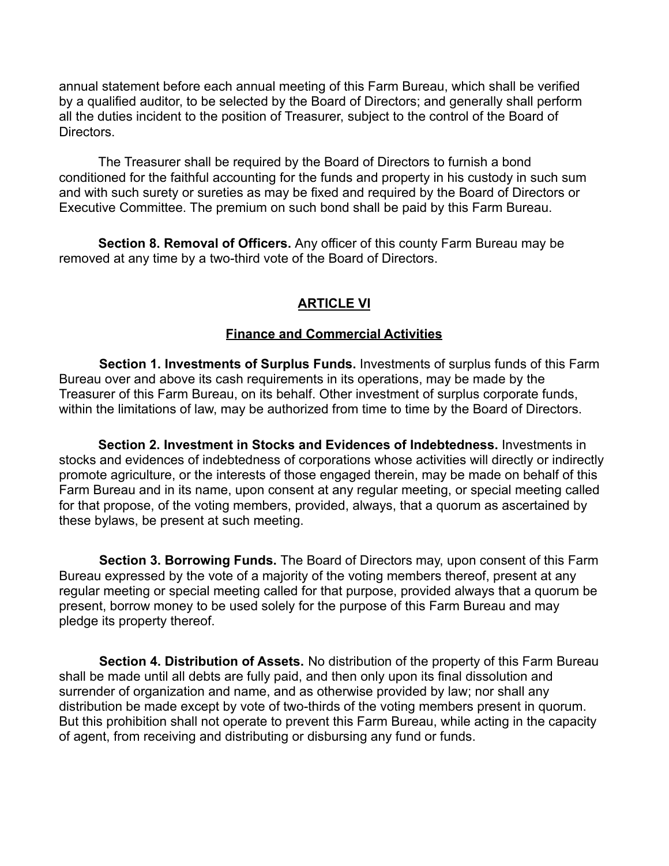annual statement before each annual meeting of this Farm Bureau, which shall be verified by a qualified auditor, to be selected by the Board of Directors; and generally shall perform all the duties incident to the position of Treasurer, subject to the control of the Board of Directors.

The Treasurer shall be required by the Board of Directors to furnish a bond conditioned for the faithful accounting for the funds and property in his custody in such sum and with such surety or sureties as may be fixed and required by the Board of Directors or Executive Committee. The premium on such bond shall be paid by this Farm Bureau.

**Section 8. Removal of Officers.** Any officer of this county Farm Bureau may be removed at any time by a two-third vote of the Board of Directors.

#### **ARTICLE VI**

#### **Finance and Commercial Activities**

**Section 1. Investments of Surplus Funds.** Investments of surplus funds of this Farm Bureau over and above its cash requirements in its operations, may be made by the Treasurer of this Farm Bureau, on its behalf. Other investment of surplus corporate funds, within the limitations of law, may be authorized from time to time by the Board of Directors.

**Section 2. Investment in Stocks and Evidences of Indebtedness.** Investments in stocks and evidences of indebtedness of corporations whose activities will directly or indirectly promote agriculture, or the interests of those engaged therein, may be made on behalf of this Farm Bureau and in its name, upon consent at any regular meeting, or special meeting called for that propose, of the voting members, provided, always, that a quorum as ascertained by these bylaws, be present at such meeting.

**Section 3. Borrowing Funds.** The Board of Directors may, upon consent of this Farm Bureau expressed by the vote of a majority of the voting members thereof, present at any regular meeting or special meeting called for that purpose, provided always that a quorum be present, borrow money to be used solely for the purpose of this Farm Bureau and may pledge its property thereof.

**Section 4. Distribution of Assets.** No distribution of the property of this Farm Bureau shall be made until all debts are fully paid, and then only upon its final dissolution and surrender of organization and name, and as otherwise provided by law; nor shall any distribution be made except by vote of two-thirds of the voting members present in quorum. But this prohibition shall not operate to prevent this Farm Bureau, while acting in the capacity of agent, from receiving and distributing or disbursing any fund or funds.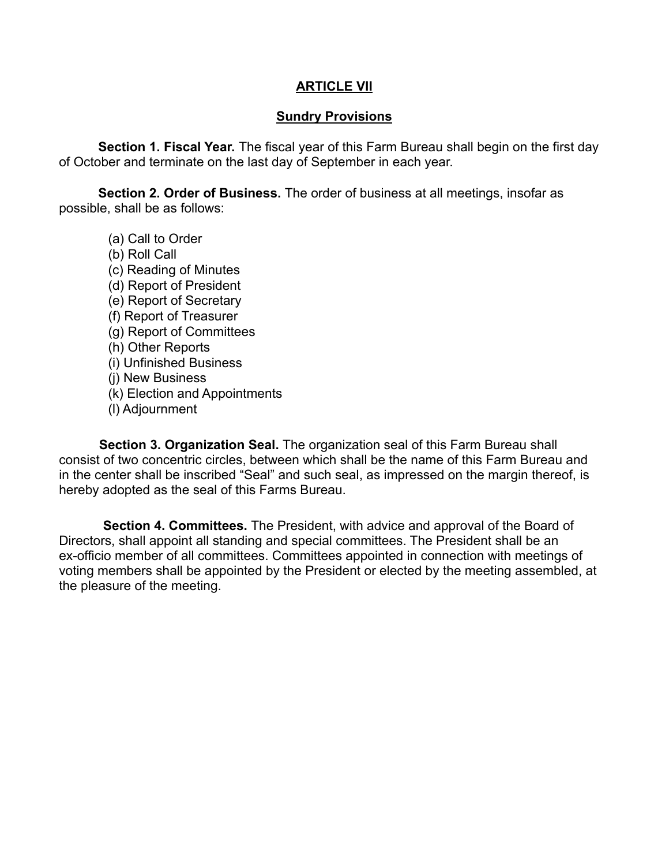#### **ARTICLE VII**

#### **Sundry Provisions**

**Section 1. Fiscal Year.** The fiscal year of this Farm Bureau shall begin on the first day of October and terminate on the last day of September in each year.

**Section 2. Order of Business.** The order of business at all meetings, insofar as possible, shall be as follows:

(a) Call to Order (b) Roll Call (c) Reading of Minutes (d) Report of President (e) Report of Secretary (f) Report of Treasurer (g) Report of Committees (h) Other Reports (i) Unfinished Business (j) New Business (k) Election and Appointments (l) Adjournment

**Section 3. Organization Seal.** The organization seal of this Farm Bureau shall consist of two concentric circles, between which shall be the name of this Farm Bureau and in the center shall be inscribed "Seal" and such seal, as impressed on the margin thereof, is hereby adopted as the seal of this Farms Bureau.

**Section 4. Committees.** The President, with advice and approval of the Board of Directors, shall appoint all standing and special committees. The President shall be an ex-officio member of all committees. Committees appointed in connection with meetings of voting members shall be appointed by the President or elected by the meeting assembled, at the pleasure of the meeting.